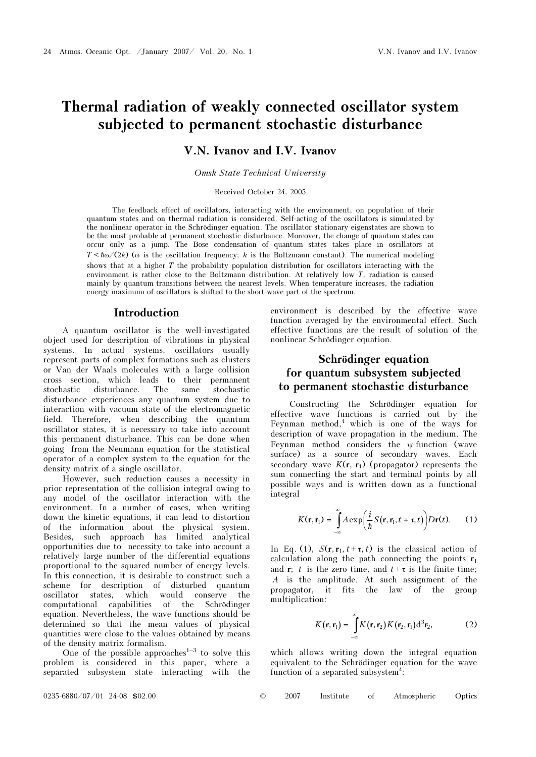# Thermal radiation of weakly connected oscillator system subjected to permanent stochastic disturbance

## V.N. Ivanov and I.V. Ivanov

Omsk State Technical University

Received October 24, 2005

The feedback effect of oscillators, interacting with the environment, on population of their quantum states and on thermal radiation is considered. Self-acting of the oscillators is simulated by the nonlinear operator in the Schrödinger equation. The oscillator stationary eigenstates are shown to be the most probable at permanent stochastic disturbance. Moreover, the change of quantum states can occur only as a jump. The Bose condensation of quantum states takes place in oscillators at  $T < \hbar \omega/(2k)$  ( $\omega$  is the oscillation frequency; k is the Boltzmann constant). The numerical modeling shows that at a higher T the probability population distribution for oscillators interacting with the environment is rather close to the Boltzmann distribution. At relatively low T, radiation is caused mainly by quantum transitions between the nearest levels. When temperature increases, the radiation energy maximum of oscillators is shifted to the short-wave part of the spectrum.

#### Introduction

A quantum oscillator is the well-investigated object used for description of vibrations in physical systems. In actual systems, oscillators usually represent parts of complex formations such as clusters or Van der Waals molecules with a large collision cross section, which leads to their permanent stochastic disturbance. The same stochastic disturbance experiences any quantum system due to interaction with vacuum state of the electromagnetic field. Therefore, when describing the quantum oscillator states, it is necessary to take into account this permanent disturbance. This can be done when going from the Neumann equation for the statistical operator of a complex system to the equation for the density matrix of a single oscillator.

However, such reduction causes a necessity in prior representation of the collision integral owing to any model of the oscillator interaction with the environment. In a number of cases, when writing down the kinetic equations, it can lead to distortion of the information about the physical system. Besides, such approach has limited analytical opportunities due to necessity to take into account a relatively large number of the differential equations proportional to the squared number of energy levels. In this connection, it is desirable to construct such a scheme for description of disturbed quantum oscillator states, which would conserve the computational capabilities of the Schrödinger equation. Nevertheless, the wave functions should be determined so that the mean values of physical quantities were close to the values obtained by means of the density matrix formalism.

One of the possible approaches<sup> $1-3$ </sup> to solve this problem is considered in this paper, where a separated subsystem state interacting with the environment is described by the effective wave function averaged by the environmental effect. Such effective functions are the result of solution of the nonlinear Schrödinger equation.

## Schrödinger equation for quantum subsystem subjected to permanent stochastic disturbance

Constructing the Schrödinger equation for effective wave functions is carried out by the Feynman method, $<sup>4</sup>$  which is one of the ways for</sup> description of wave propagation in the medium. The Feynman method considers the ψ-function (wave surface) as a source of secondary waves. Each secondary wave  $K(\mathbf{r}, \mathbf{r}_1)$  (propagator) represents the sum connecting the start and terminal points by all possible ways and is written down as a functional integral

$$
K(\mathbf{r}, \mathbf{r}_1) = \int_{-\infty}^{\infty} A \exp\left(\frac{i}{\hbar} S(\mathbf{r}, \mathbf{r}_1, t + \tau, t)\right) D \mathbf{r}(t). \tag{1}
$$

In Eq. (1),  $S(\mathbf{r}, \mathbf{r}_1, t+\tau, t)$  is the classical action of calculation along the path connecting the points  $r_1$ and **r**; t is the zero time, and  $t+\tau$  is the finite time; A is the amplitude. At such assignment of the propagator, it fits the law of the group multiplication:

$$
K(\mathbf{r}, \mathbf{r}_1) = \int_{-\infty}^{\infty} K(\mathbf{r}, \mathbf{r}_2) K(\mathbf{r}_2, \mathbf{r}_1) d^3 \mathbf{r}_2, \tag{2}
$$

which allows writing down the integral equation equivalent to the Schrödinger equation for the wave function of a separated subsystem<sup>4</sup>: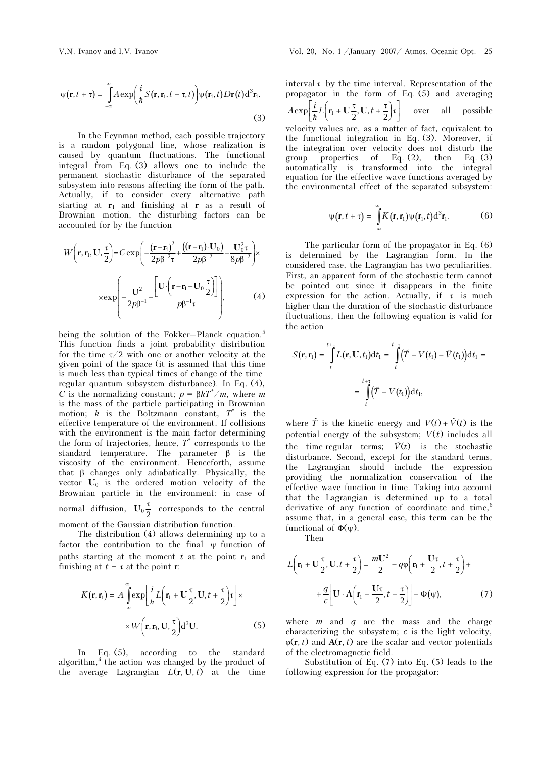In the Feynman method, each possible trajectory is a random polygonal line, whose realization is caused by quantum fluctuations. The functional integral from Eq. (3) allows one to include the permanent stochastic disturbance of the separated subsystem into reasons affecting the form of the path. Actually, if to consider every alternative path starting at  $r_1$  and finishing at r as a result of Brownian motion, the disturbing factors can be accounted for by the function

accounted for by the function

\n
$$
W\left(\mathbf{r}, \mathbf{r}_1, \mathbf{U}, \frac{\tau}{2}\right) = C \exp\left(-\frac{(\mathbf{r} - \mathbf{r}_1)^2}{2\rho \beta^{-2} \tau} + \frac{((\mathbf{r} - \mathbf{r}_1) \cdot \mathbf{U}_0)}{2\rho \beta^{-2}} - \frac{\mathbf{U}_0^2 \tau}{8\rho \beta^{-2}}\right) \times \exp\left(-\frac{\mathbf{U}^2}{2\rho \beta^{-1}} + \frac{\left[\mathbf{U} \cdot \left(\mathbf{r} - \mathbf{r}_1 - \mathbf{U}_0 \frac{\tau}{2}\right)\right]}{\rho \beta^{-1} \tau}\right),\tag{4}
$$

being the solution of the Fokker–Planck equation.<sup>5</sup> This function finds a joint probability distribution for the time  $\tau/2$  with one or another velocity at the given point of the space (it is assumed that this time is much less than typical times of change of the timeregular quantum subsystem disturbance). In Eq. (4), C is the normalizing constant;  $p = \beta kT^*/m$ , where m is the mass of the particle participating in Brownian motion;  $k$  is the Boltzmann constant,  $T^*$  is the effective temperature of the environment. If collisions with the environment is the main factor determining the form of trajectories, hence,  $T^*$  corresponds to the standard temperature. The parameter  $\beta$  is the viscosity of the environment. Henceforth, assume that β changes only adiabatically. Physically, the vector  $U_0$  is the ordered motion velocity of the Brownian particle in the environment: in case of normal diffusion,  $U_0 \frac{\tau}{2}$  corresponds to the central moment of the Gaussian distribution function.

The distribution (4) allows determining up to a factor the contribution to the final  $\psi$ -function of paths starting at the moment t at the point  $r_1$  and finishing at  $t + \tau$  at the point **r**:

$$
K(\mathbf{r}, \mathbf{r}_1) = A \int_{-\infty}^{\infty} \exp\left[\frac{i}{\hbar} L\left(\mathbf{r}_1 + \mathbf{U}\frac{\tau}{2}, \mathbf{U}, t + \frac{\tau}{2}\right) \tau\right] \times \times W\left(\mathbf{r}, \mathbf{r}_1, \mathbf{U}, \frac{\tau}{2}\right) d^3 \mathbf{U}.
$$
 (5)

In Eq. (5), according to the standard algorithm,<sup>4</sup> the action was changed by the product of the average Lagrangian  $L(\mathbf{r}, \mathbf{U}, t)$  at the time

interval  $\tau$  by the time interval. Representation of the propagator in the form of Eq. (5) and averaging  $A \exp\left[\frac{i}{\hbar}L\left(\mathbf{r}_1 + \mathbf{U}\frac{\tau}{2}, \mathbf{U}, t + \frac{\tau}{2}\right)\tau\right]$  over all possible velocity values are, as a matter of fact, equivalent to

the functional integration in Eq. (3). Moreover, if the integration over velocity does not disturb the group properties of Eq.  $(2)$ , then Eq.  $(3)$ automatically is transformed into the integral equation for the effective wave functions averaged by the environmental effect of the separated subsystem:

$$
\psi(\mathbf{r}, t + \tau) = \int_{-\infty}^{\infty} K(\mathbf{r}, \mathbf{r}_1) \psi(\mathbf{r}_1, t) d^3 \mathbf{r}_1.
$$
 (6)

The particular form of the propagator in Eq. (6) is determined by the Lagrangian form. In the considered case, the Lagrangian has two peculiarities. First, an apparent form of the stochastic term cannot be pointed out since it disappears in the finite expression for the action. Actually, if  $\tau$  is much higher than the duration of the stochastic disturbance fluctuations, then the following equation is valid for the action -<br>-<br>-<br>-

$$
S(\mathbf{r}, \mathbf{r}_1) = \int_t^{t+\tau} L(\mathbf{r}, \mathbf{U}, t_1) dt_1 = \int_t^{t+\tau} (\tilde{T} - V(t_1) - \tilde{V}(t_1)) dt_1 =
$$
  

$$
= \int_t^{t+\tau} (\tilde{T} - V(t_1)) dt_1,
$$
  
where  $\tilde{T}$  is the kinetic energy and  $V(t) + \tilde{V}(t)$  is the

potential energy of the subsystem;  $V(t)$  includes all where  $\tilde{T}$  is the kinetic energy and  $V(t) + \tilde{V}(t)$  is the potential energy of the subsystem;  $V(t)$  includes all the time-regular terms;  $\tilde{V}(t)$  is the stochastic disturbance. Second, except for the standard terms, the Lagrangian should include the expression providing the normalization conservation of the effective wave function in time. Taking into account that the Lagrangian is determined up to a total derivative of any function of coordinate and time, $6$ assume that, in a general case, this term can be the functional of  $\Phi(\psi)$ .

Then

$$
L\left(\mathbf{r}_{1} + \mathbf{U}_{\frac{\tau}{2}}, \mathbf{U}, t + \frac{\tau}{2}\right) = \frac{m\mathbf{U}^{2}}{2} - q\varphi\left(\mathbf{r}_{1} + \frac{\mathbf{U}\tau}{2}, t + \frac{\tau}{2}\right) + \frac{q}{c}\left[\mathbf{U} \cdot \mathbf{A}\left(\mathbf{r}_{1} + \frac{\mathbf{U}\tau}{2}, t + \frac{\tau}{2}\right)\right] - \Phi(\psi),
$$
 (7)

where  $m$  and  $q$  are the mass and the charge characterizing the subsystem;  $c$  is the light velocity,  $\varphi(\mathbf{r}, t)$  and  $\mathbf{A}(\mathbf{r}, t)$  are the scalar and vector potentials of the electromagnetic field.

Substitution of Eq. (7) into Eq. (5) leads to the following expression for the propagator: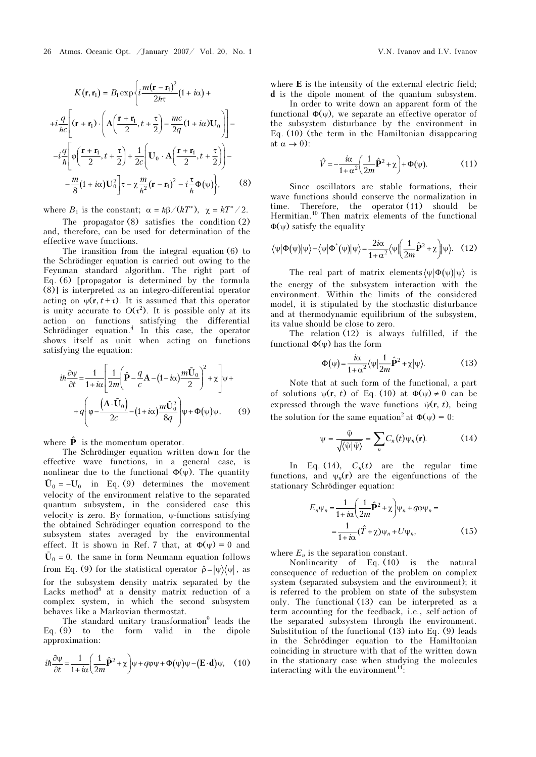$$
K(\mathbf{r}, \mathbf{r}_1) = B_1 \exp\left\{i\frac{m(\mathbf{r} - \mathbf{r}_1)^2}{2\hbar\tau}(1 + i\alpha) + \right.
$$
  
+ $i\frac{q}{\hbar c}\left[ (\mathbf{r} + \mathbf{r}_1) \cdot \left( \mathbf{A}\left(\frac{\mathbf{r} + \mathbf{r}_1}{2}, t + \frac{\tau}{2}\right) - \frac{mc}{2q}(1 + i\alpha) \mathbf{U}_0 \right) \right] -$   
- $i\frac{q}{\hbar} \left[ \varphi\left(\frac{\mathbf{r} + \mathbf{r}_1}{2}, t + \frac{\tau}{2}\right) + \frac{1}{2c} \left( \mathbf{U}_0 \cdot \mathbf{A}\left(\frac{\mathbf{r} + \mathbf{r}_1}{2}, t + \frac{\tau}{2}\right) \right) -$   
- $\frac{m}{8}(1 + i\alpha) \mathbf{U}_0^2 \right] \tau - \chi \frac{m}{\hbar^2} (\mathbf{r} - \mathbf{r}_1)^2 - i\frac{\tau}{\hbar} \Phi(\psi) \Big\},$  (8)

where  $B_1$  is the constant;  $\alpha = \hbar \beta / (kT^*)$ ,  $\chi = kT^* / 2$ .

 The propagator (8) satisfies the condition (2) and, therefore, can be used for determination of the effective wave functions.

The transition from the integral equation (6) to the Schrödinger equation is carried out owing to the Feynman standard algorithm. The right part of Eq. (6) [propagator is determined by the formula (8)] is interpreted as an integro-differential operator acting on  $\psi(\mathbf{r}, t+\tau)$ . It is assumed that this operator is unity accurate to  $O(\tau^2)$ . It is possible only at its action on functions satisfying the differential Schrödinger equation.<sup>4</sup> In this case, the operator shows itself as unit when acting on functions satisfying the equation:

$$
i\hbar \frac{\partial \psi}{\partial t} = \frac{1}{1 + i\alpha} \left[ \frac{1}{2m} \left( \hat{\mathbf{P}} - \frac{q}{c} \mathbf{A} - (1 - i\alpha) \frac{m \tilde{\mathbf{U}}_0}{2} \right)^2 + \chi \right] \psi +
$$

$$
+ q \left( \varphi - \frac{\left( \mathbf{A} \cdot \tilde{\mathbf{U}}_0 \right)}{2c} - (1 + i\alpha) \frac{m \tilde{\mathbf{U}}_0^2}{8q} \right) \psi + \Phi(\psi) \psi, \qquad (9)
$$

where  $\hat{\mathbf{P}}$  is the momentum operator.<br>
The Schrödinger equation writte<br>
effective wave functions, in a g<br>
nonlinear due to the functional  $\Phi(\psi)$ <br>  $\tilde{U}_0 = -U_0$  in Eq. (9) determines The Schrödinger equation written down for the effective wave functions, in a general case, is nonlinear due to the functional  $\Phi(\psi)$ . The quantity  $\tilde{U}_0 = -U_0$  in Eq. (9) determines the movement velocity of the environment relative to the separated quantum subsystem, in the considered case this velocity is zero. By formation,  $\psi$ -functions satisfying<br>the obtained Schrödinger equation correspond to the<br>subsystem states averaged by the environmental<br>effect. It is shown in Ref. 7 that, at  $\Phi(\psi) = 0$  and<br> $\tilde{U}_0 =$ the obtained Schrödinger equation correspond to the subsystem states averaged by the environmental effect. It is shown in Ref. 7 that, at  $\Phi(\psi) = 0$  and  $\tilde{U}_0 = 0$ , the same in form Neumann equation follows from Eq. (9) for the statistical operator  $\hat{\rho} = |\psi\rangle\langle\psi|$ , as for the subsystem density matrix separated by the Lacks method<sup>8</sup> at a density matrix reduction of a complex system, in which the second subsystem behaves like a Markovian thermostat.

The standard unitary transformation<sup>9</sup> leads the Eq. (9) to the form valid in the dipole approximation:

$$
i\hbar \frac{\partial \psi}{\partial t} = \frac{1}{1 + i\alpha} \left( \frac{1}{2m} \hat{\mathbf{P}}^2 + \chi \right) \psi + q\varphi\psi + \Phi(\psi)\psi - (\mathbf{E} \cdot \mathbf{d})\psi, \quad (10)
$$

where **E** is the intensity of the external electric field; d is the dipole moment of the quantum subsystem.

 In order to write down an apparent form of the functional  $\Phi(\psi)$ , we separate an effective operator of the subsystem disturbance by the environment in Eq. (10) (the term in the Hamiltonian disappearing at  $\alpha \rightarrow 0$ :

$$
\hat{V} = -\frac{i\alpha}{1+\alpha^2} \left(\frac{1}{2m}\hat{\mathbf{P}}^2 + \chi\right) + \Phi(\psi). \tag{11}
$$

Since oscillators are stable formations, their wave functions should conserve the normalization in time. Therefore, the operator (11) should be Hermitian.<sup>10</sup> Then matrix elements of the functional  $Φ(ψ)$  satisfy the equality

$$
\langle \psi | \Phi(\psi) | \psi \rangle - \langle \psi | \Phi^*(\psi) | \psi \rangle = \frac{2i\alpha}{1 + \alpha^2} \langle \psi | \left( \frac{1}{2m} \hat{\mathbf{P}}^2 + \chi \right) | \psi \rangle. \quad (12)
$$

The real part of matrix elements  $\langle \psi | \Phi(\psi) | \psi \rangle$  is the energy of the subsystem interaction with the environment. Within the limits of the considered model, it is stipulated by the stochastic disturbance and at thermodynamic equilibrium of the subsystem, its value should be close to zero.

The relation (12) is always fulfilled, if the functional Φ(ψ) has the form

$$
\Phi(\psi) = \frac{i\alpha}{1 + \alpha^2} \langle \psi | \frac{1}{2m} \hat{\mathbf{P}}^2 + \chi | \psi \rangle.
$$
 (13)

Note that at such form of the functional, a part of solutions  $\psi(\mathbf{r}, t)$  of Eq. (10) at  $\Phi(\psi) \neq 0$  can be  $\Phi(\psi) = \frac{\omega}{1+\alpha^2} \langle \psi | \frac{1}{2m} \mathbf{P}^2 + \chi | \psi \rangle$ .<br>Note that at such form of the functions  $\psi(\mathbf{r}, t)$  of Eq. (10) at  $\Phi(\psi)$ .<br>expressed through the wave functions  $\tilde{\psi}$ the wave functions  $\tilde{\psi}(\mathbf{r}, t)$ , being the solution for the same equation<sup>2</sup> at  $\Phi(\psi) = 0$ : of Eq. (10) at Φ(<br>the wave functions<br>same equation<sup>2</sup> at Φ<br> $\frac{\tilde{\psi}}{\tilde{\psi}|\tilde{\psi}\rangle} = \sum_{n} C_n(t) \psi_n(\mathbf{r})$  $\frac{1}{1}$ 

$$
\Psi = \frac{\tilde{\Psi}}{\sqrt{\langle \tilde{\Psi} | \tilde{\Psi} \rangle}} = \sum_{n} C_{n}(t) \Psi_{n}(\mathbf{r}). \tag{14}
$$

In Eq. (14),  $C_n(t)$  are the regular time functions, and  $\psi_n(\mathbf{r})$  are the eigenfunctions of the stationary Schrödinger equation:

$$
E_n \Psi_n = \frac{1}{1 + i\alpha} \left( \frac{1}{2m} \hat{\mathbf{P}}^2 + \chi \right) \Psi_n + q \Phi \Psi_n =
$$
  
= 
$$
\frac{1}{1 + i\alpha} (\hat{T} + \chi) \Psi_n + U \Psi_n,
$$
 (15)

where  $E_n$  is the separation constant.

Nonlinearity of Eq. (10) is the natural consequence of reduction of the problem on complex system (separated subsystem and the environment); it is referred to the problem on state of the subsystem only. The functional (13) can be interpreted as a term accounting for the feedback, i.e., self-action of the separated subsystem through the environment. Substitution of the functional (13) into Eq. (9) leads in the Schrödinger equation to the Hamiltonian coinciding in structure with that of the written down in the stationary case when studying the molecules interacting with the environment $11$ :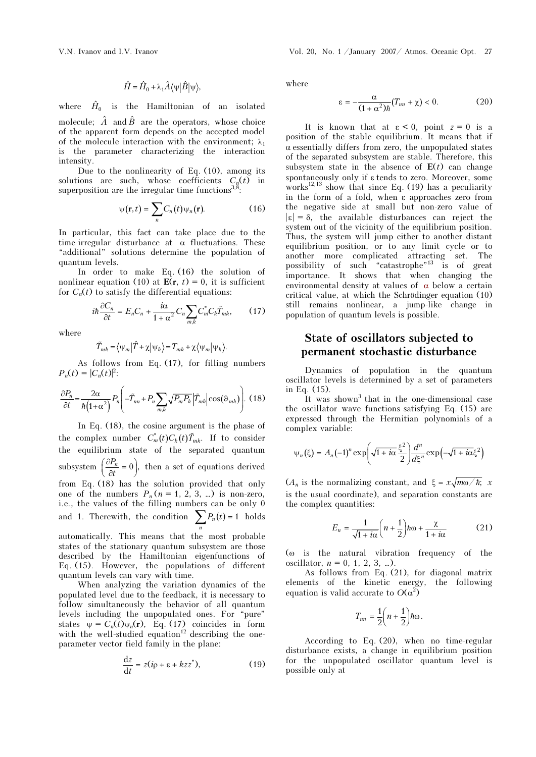$$
\hat{H} = \hat{H}_0 + \lambda_1 \hat{A} \langle \psi | \hat{B} | \psi \rangle,
$$

where  $\hat{H}_0$  is the Hamiltonian of an isolated molecule;  $\hat{A}$  and  $\hat{B}$  are the operators, whose choice of the apparent form depends on the accepted model of the molecule interaction with the environment;  $\lambda_1$ is the parameter characterizing the interaction intensity.

Due to the nonlinearity of Eq. (10), among its solutions are such, whose coefficients  $C_n(t)$  in superposition are the irregular time functions $^{3,8}$ :

$$
\psi(\mathbf{r},t) = \sum_{n} C_n(t) \psi_n(\mathbf{r}).
$$
 (16)

In particular, this fact can take place due to the time-irregular disturbance at  $\alpha$  fluctuations. These "additional" solutions determine the population of quantum levels.

In order to make Eq. (16) the solution of nonlinear equation (10) at  $E(r, t) = 0$ , it is sufficient for  $C_n(t)$  to satisfy the differential equations:

$$
i\hbar \frac{\partial C_n}{\partial t} = E_n C_n + \frac{i\alpha}{1 + \alpha^2} C_n \sum_{m,k} C_m^* C_k \tilde{T}_{mk},
$$
 (17)  

$$
\tilde{T}_{mk} = \langle \psi_m | \hat{T} + \chi | \psi_k \rangle = T_{mk} + \chi \langle \psi_m | \psi_k \rangle.
$$

where

$$
\tilde{T}_{mk} = \langle \psi_m | \hat{T} + \chi | \psi_k \rangle = T_{mk} + \chi \langle \psi_m | \psi_k \rangle.
$$

As follows from Eq. (17), for filling numbers  $P_n(t) = |C_n(t)|^2$ :

$$
\frac{\partial P_n}{\partial t} = \frac{2\alpha}{\hbar (1 + \alpha^2)} P_n \left( -\tilde{T}_{nn} + P_n \sum_{m,k} \sqrt{P_m P_k} \left| \tilde{T}_{mk} \right| \cos(\theta_{mk}) \right). \tag{18}
$$
  
In Eq. (18), the cosine argument is the phase of  
the complex number  $C_m^*(t) C_k(t) \tilde{T}_{mk}$ . If to consider

In Eq. (18), the cosine argument is the phase of the equilibrium state of the separated quantum subsystem  $\left(\frac{\partial P_n}{\partial t} = 0\right)$ ,  $\left(\frac{\partial P_n}{\partial t} = 0\right)$ , then a set of equations derived from Eq. (18) has the solution provided that only one of the numbers  $P_n (n = 1, 2, 3, ...)$  is non-zero, i.e., the values of the filling numbers can be only 0 and 1. Therewith, the condition  $\sum P_n(t) = 1$  $\sum_{n} P_n(t) = 1$  holds

automatically. This means that the most probable states of the stationary quantum subsystem are those described by the Hamiltonian eigenfunctions of Eq. (15). However, the populations of different quantum levels can vary with time.

When analyzing the variation dynamics of the populated level due to the feedback, it is necessary to follow simultaneously the behavior of all quantum levels including the unpopulated ones. For "pure" states  $\psi = C_n(t)\psi_n(\mathbf{r})$ , Eq. (17) coincides in form with the well-studied equation<sup>12</sup> describing the oneparameter vector field family in the plane:

$$
\frac{\mathrm{d}z}{\mathrm{d}t} = z(i\varphi + \varepsilon + kzz^*),\tag{19}
$$

where

$$
\varepsilon = -\frac{\alpha}{(1+\alpha^2)\hbar}(T_{nn} + \chi) < 0. \tag{20}
$$

It is known that at  $\varepsilon < 0$ , point  $z = 0$  is a position of the stable equilibrium. It means that if  $\alpha$  essentially differs from zero, the unpopulated states of the separated subsystem are stable. Therefore, this subsystem state in the absence of  $E(t)$  can change spontaneously only if ε tends to zero. Moreover, some works<sup>12,13</sup> show that since Eq. (19) has a peculiarity in the form of a fold, when ε approaches zero from the negative side at small but non-zero value of  $|\varepsilon| = \delta$ , the available disturbances can reject the system out of the vicinity of the equilibrium position. Thus, the system will jump either to another distant equilibrium position, or to any limit cycle or to another more complicated attracting set. The possibility of such "catastrophe"<sup>13</sup> is of great importance. It shows that when changing the environmental density at values of  $\alpha$  below a certain critical value, at which the Schrödinger equation (10) still remains nonlinear, a jump-like change in population of quantum levels is possible.

## State of oscillators subjected to permanent stochastic disturbance

Dynamics of population in the quantum oscillator levels is determined by a set of parameters in Eq. (15).

It was shown<sup>3</sup> that in the one-dimensional case the oscillator wave functions satisfying Eq. (15) are expressed through the Hermitian polynomials of a complex variable:

$$
\psi_n(\xi) = A_n(-1)^n \exp\left(\sqrt{1+i\alpha} \frac{\xi^2}{2}\right) \frac{d^n}{d\xi^n} \exp\left(-\sqrt{1+i\alpha} \xi^2\right)
$$

 $(A_n$  is the normalizing constant, and  $\xi = x\sqrt{m\omega/\hbar}$ ; x is the usual coordinate), and separation constants are the complex quantities:

$$
E_n = \frac{1}{\sqrt{1 + i\alpha}} \left( n + \frac{1}{2} \right) \hbar \omega + \frac{\chi}{1 + i\alpha} \tag{21}
$$

(ω is the natural vibration frequency of the oscillator,  $n = 0, 1, 2, 3, ...$ ).

As follows from Eq. (21), for diagonal matrix elements of the kinetic energy, the following equation is valid accurate to  $O(\alpha^2)$ 

$$
T_{nn} = \frac{1}{2}\left(n + \frac{1}{2}\right)\hbar\omega.
$$

According to Eq. (20), when no time-regular disturbance exists, a change in equilibrium position for the unpopulated oscillator quantum level is possible only at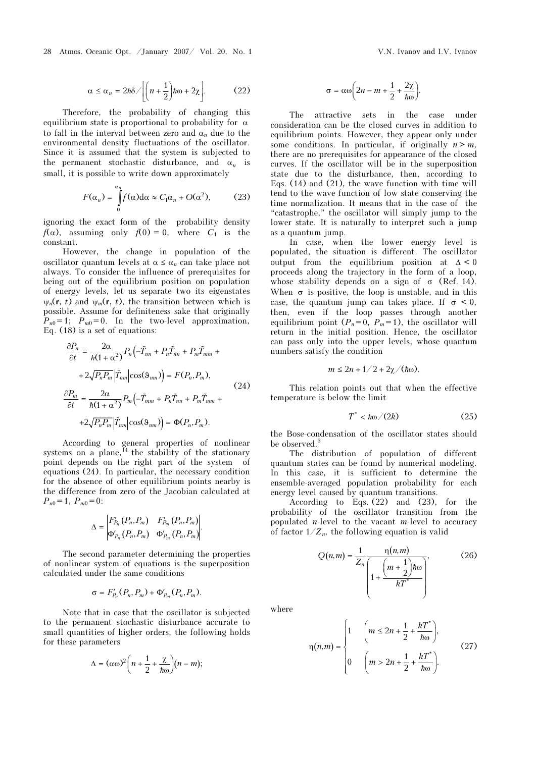28 Atmos. Oceanic Opt. /January 2007/ Vol. 20, No. 1 V.N. Ivanov and I.V. Ivanov and I.V. Ivanov

$$
\alpha \le \alpha_n = 2\hbar \delta / \left[ \left( n + \frac{1}{2} \right) \hbar \omega + 2\chi \right].
$$
 (22)

Therefore, the probability of changing this equilibrium state is proportional to probability for  $\alpha$ to fall in the interval between zero and  $\alpha_n$  due to the environmental density fluctuations of the oscillator. Since it is assumed that the system is subjected to the permanent stochastic disturbance, and  $\alpha_n$  is small, it is possible to write down approximately

$$
F(\alpha_n) = \int_{0}^{\alpha_n} f(\alpha) d\alpha \approx C_1 \alpha_n + O(\alpha^2), \quad (23)
$$

ignoring the exact form of the probability density  $f(\alpha)$ , assuming only  $f(0) = 0$ , where  $C_1$  is the constant.

However, the change in population of the oscillator quantum levels at  $\alpha \leq \alpha_n$  can take place not always. To consider the influence of prerequisites for being out of the equilibrium position on population of energy levels, let us separate two its eigenstates  $\psi_n(\mathbf{r}, t)$  and  $\psi_m(\mathbf{r}, t)$ , the transition between which is possible. Assume for definiteness sake that originally  $P_{n0} = 1$ ;  $P_{m0} = 0$ . In the two-level approximation, Eq. (18) is a set of equations:

$$
\frac{\partial P_n}{\partial t} = \frac{2\alpha}{\hbar(1+\alpha^2)} P_n \left( -\tilde{T}_{nn} + P_n \tilde{T}_{nn} + P_m \tilde{T}_{mm} + \right.
$$
  
+2\sqrt{P\_n P\_m} |\tilde{T}\_{nm}| \cos(\theta\_{nm}) \right) = F(P\_n, P\_m),  

$$
\frac{\partial P_m}{\partial t} = \frac{2\alpha}{\hbar(1+\alpha^2)} P_m \left( -\tilde{T}_{mm} + P_n \tilde{T}_{nn} + P_m \tilde{T}_{mm} + \right.
$$
  
+2\sqrt{P\_n P\_m} |\tilde{T}\_{nm}| \cos(\theta\_{nm}) \right) = \Phi(P\_n, P\_m).

According to general properties of nonlinear systems on a plane,<sup>14</sup> the stability of the stationary point depends on the right part of the system of equations (24). In particular, the necessary condition for the absence of other equilibrium points nearby is the difference from zero of the Jacobian calculated at  $P_{n0} = 1$ ,  $P_{m0} = 0$ :

$$
\Delta = \begin{vmatrix} F'_{P_n}(P_n, P_m) & F'_{P_m}(P_n, P_m) \\ \Phi'_{P_n}(P_n, P_m) & \Phi'_{P_m}(P_n, P_m) \end{vmatrix}.
$$

The second parameter determining the properties of nonlinear system of equations is the superposition calculated under the same conditions

$$
\sigma = F'_{P_n}(P_n, P_m) + \Phi'_{P_m}(P_n, P_m).
$$

Note that in case that the oscillator is subjected to the permanent stochastic disturbance accurate to small quantities of higher orders, the following holds for these parameters

$$
\Delta = (\alpha \omega)^2 \bigg( n + \frac{1}{2} + \frac{\chi}{\hbar \omega} \bigg) (n - m);
$$

$$
\sigma = \alpha \omega \bigg(2n - m + \frac{1}{2} + \frac{2\chi}{\hbar \omega}\bigg).
$$

The attractive sets in the case under consideration can be the closed curves in addition to equilibrium points. However, they appear only under some conditions. In particular, if originally  $n > m$ , there are no prerequisites for appearance of the closed curves. If the oscillator will be in the superposition state due to the disturbance, then, according to Eqs. (14) and (21), the wave function with time will tend to the wave function of low state conserving the time normalization. It means that in the case of the "catastrophe," the oscillator will simply jump to the lower state. It is naturally to interpret such a jump as a quantum jump.

In case, when the lower energy level is populated, the situation is different. The oscillator output from the equilibrium position at  $\Delta < 0$ proceeds along the trajectory in the form of a loop, whose stability depends on a sign of  $\sigma$  (Ref. 14). When  $\sigma$  is positive, the loop is unstable, and in this case, the quantum jump can takes place. If  $\sigma \leq 0$ , then, even if the loop passes through another equilibrium point  $(P_n = 0, P_m = 1)$ , the oscillator will return in the initial position. Hence, the oscillator can pass only into the upper levels, whose quantum numbers satisfy the condition

$$
m\leq 2n+1/2+2\chi/(\hbar\omega).
$$

This relation points out that when the effective temperature is below the limit

$$
T^* < \hbar \omega / (2k) \tag{25}
$$

the Bose-condensation of the oscillator states should be observed.<sup>3</sup>

The distribution of population of different quantum states can be found by numerical modeling. In this case, it is sufficient to determine the ensemble-averaged population probability for each energy level caused by quantum transitions.

According to Eqs. (22) and (23), for the probability of the oscillator transition from the populated *n*-level to the vacant *m*-level to accuracy of factor  $1/Z_n$ , the following equation is valid

$$
Q(n,m) = \frac{1}{Z_n} \frac{\eta(n,m)}{\left(1 + \frac{\left(m + \frac{1}{2}\right)\hbar\omega}{kT^*}\right)},
$$
(26)

where

$$
\eta(n,m) = \begin{cases} 1 & \left( m \le 2n + \frac{1}{2} + \frac{kT^*}{\hbar \omega} \right), \\ 0 & \left( m > 2n + \frac{1}{2} + \frac{kT^*}{\hbar \omega} \right). \end{cases} \tag{27}
$$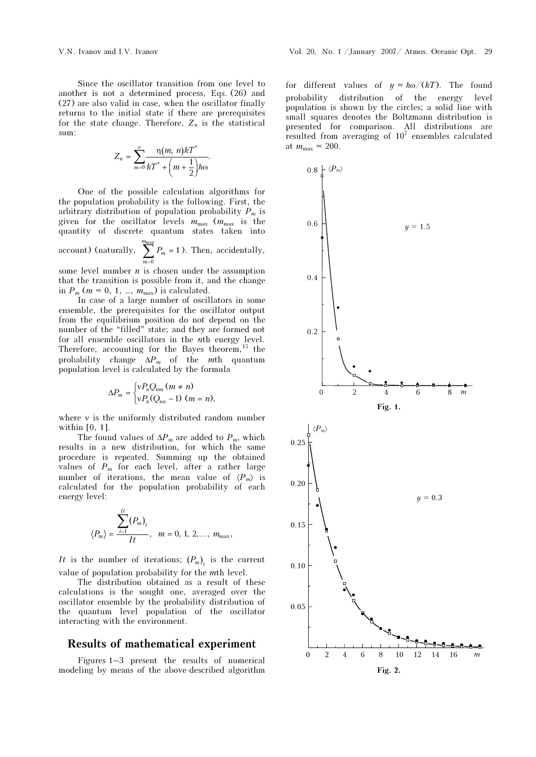Since the oscillator transition from one level to another is not a determined process, Eqs. (26) and (27) are also valid in case, when the oscillator finally returns to the initial state if there are prerequisites for the state change. Therefore,  $Z_n$  is the statistical sum:

$$
Z_n = \sum_{m=0}^{\infty} \frac{\eta(m, n)kT^*}{kT^* + \left(m + \frac{1}{2}\right)\hbar\omega}.
$$

One of the possible calculation algorithms for the population probability is the following. First, the arbitrary distribution of population probability  $P_m$  is given for the oscillator levels  $m_{\text{max}}$  ( $m_{\text{max}}$  is the quantity of discrete quantum states taken into max m

account) (naturally,  $\overline{0}$ 1 m m  $\sum_{m=0}^{m_{\text{max}}} P_m = 1$ ). Then, accidentally,

some level number  $n$  is chosen under the assumption that the transition is possible from it, and the change in  $P_m$  ( $m = 0, 1, ..., m_{\text{max}}$ ) is calculated.

In case of a large number of oscillators in some ensemble, the prerequisites for the oscillator output from the equilibrium position do not depend on the number of the "filled" state; and they are formed not for all ensemble oscillators in the nth energy level. Therefore, accounting for the Bayes theorem,  $15$  the probability change  $\Delta P_m$  of the mth quantum population level is calculated by the formula

$$
\Delta P_m = \begin{cases} \n \nu P_n Q_{nm} \, (m \neq n) \\ \n \nu P_n (Q_{nn} - 1) \, (m = n), \end{cases}
$$

where ν is the uniformly distributed random number within [0, 1].

The found values of  $\Delta P_m$  are added to  $P_m$ , which results in a new distribution, for which the same procedure is repeated. Summing up the obtained values of  $P_m$  for each level, after a rather large number of iterations, the mean value of  $\langle P_m \rangle$  is calculated for the population probability of each energy level:

$$
\langle P_m \rangle = \frac{\sum_{i=1}^{It} (P_m)_i}{It}, \quad m = 0, 1, 2, \dots, m_{\text{max}},
$$

It is the number of iterations;  $(P_m)$  is the current value of population probability for the mth level.

The distribution obtained as a result of these calculations is the sought one, averaged over the oscillator ensemble by the probability distribution of the quantum level population of the oscillator interacting with the environment.

#### Results of mathematical experiment

Figures 1–3 present the results of numerical modeling by means of the above-described algorithm

for different values of  $y = \hbar \omega / (kT)$ . The found probability distribution of the energy level population is shown by the circles; a solid line with small squares denotes the Boltzmann distribution is presented for comparison. All distributions are resulted from averaging of  $10<sup>7</sup>$  ensembles calculated at  $m_{\text{max}} = 200$ .

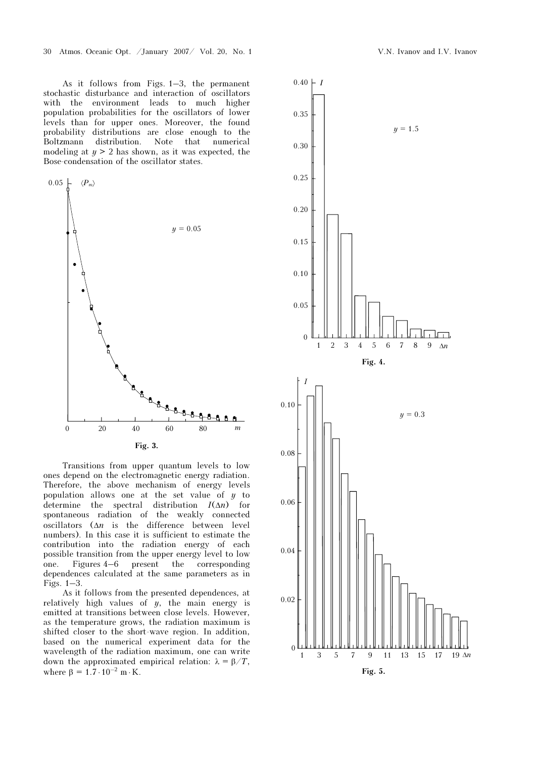As it follows from Figs. 1–3, the permanent stochastic disturbance and interaction of oscillators with the environment leads to much higher population probabilities for the oscillators of lower levels than for upper ones. Moreover, the found probability distributions are close enough to the Boltzmann distribution. Note that numerical modeling at  $y > 2$  has shown, as it was expected, the Bose-condensation of the oscillator states.



Transitions from upper quantum levels to low ones depend on the electromagnetic energy radiation. Therefore, the above mechanism of energy levels population allows one at the set value of  $y$  to determine the spectral distribution  $I(\Delta n)$  for spontaneous radiation of the weakly connected oscillators  $(\Delta n)$  is the difference between level numbers). In this case it is sufficient to estimate the contribution into the radiation energy of each possible transition from the upper energy level to low one. Figures 4–6 present the corresponding dependences calculated at the same parameters as in Figs. 1–3.

As it follows from the presented dependences, at relatively high values of  $y$ , the main energy is emitted at transitions between close levels. However, as the temperature grows, the radiation maximum is shifted closer to the short-wave region. In addition, based on the numerical experiment data for the wavelength of the radiation maximum, one can write down the approximated empirical relation:  $λ = β/T$ , where  $\beta = 1.7 \cdot 10^{-2}$  m ⋅ K.